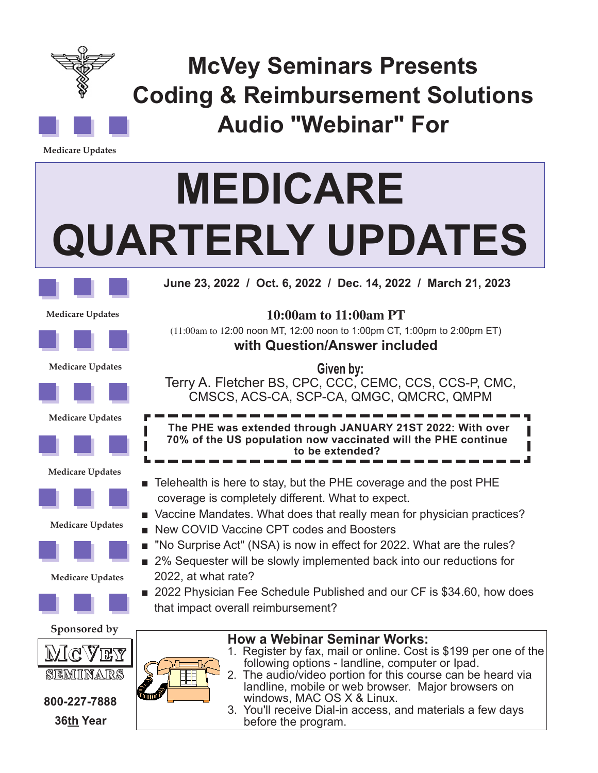

**McVey Seminars Presents Coding & Reimbursement Solutions Audio "Webinar" For**

**Medicare Updates**

# **MEDICARE QUARTERLY UPDATES**



**June 23, 2022 / Oct. 6, 2022 / Dec. 14, 2022 / March 21, 2023** 

**Medicare Updates**



**10:00am to 11:00am PT**  (11:00am to 12:00 noon MT, 12:00 noon to 1:00pm CT, 1:00pm to 2:00pm ET) **with Question/Answer included**

**Given by:** Terry A. Fletcher BS, CPC, CCC, CEMC, CCS, CCS-P, CMC,

**Medicare Updates**



**Medicare Updates**



#### **Medicare Updates**













## **800-227-7888 36th Year**

m.<br>Milli



- Telehealth is here to stay, but the PHE coverage and the post PHE coverage is completely different. What to expect.
- Vaccine Mandates. What does that really mean for physician practices?
- New COVID Vaccine CPT codes and Boosters
- "No Surprise Act" (NSA) is now in effect for 2022. What are the rules?
- 2% Sequester will be slowly implemented back into our reductions for 2022, at what rate?
- 2022 Physician Fee Schedule Published and our CF is \$34.60, how does that impact overall reimbursement?



3. You'll receive Dial-in access, and materials a few days before the program.